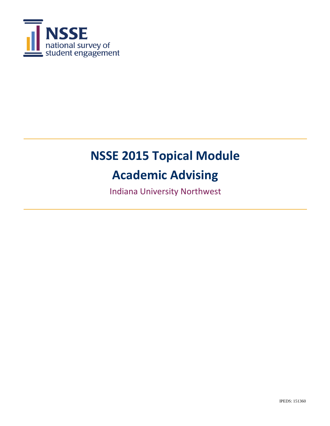

# **NSSE 2015 Topical Module Academic Advising**

## Indiana University Northwest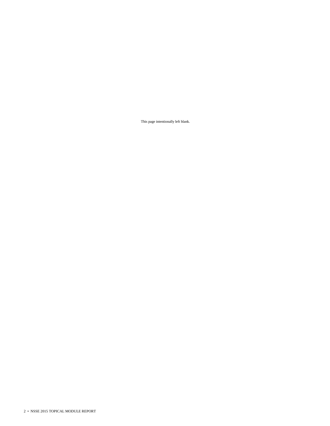This page intentionally left blank.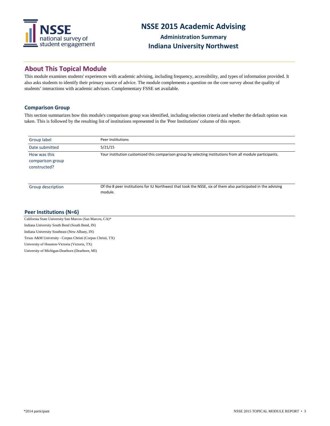

## **NSSE 2015 Academic Advising Administration Summary**

### **Indiana University Northwest**

#### **About This Topical Module**

This module examines students' experiences with academic advising, including frequency, accessibility, and types of information provided. It also asks students to identify their primary source of advice. The module complements a question on the core survey about the quality of students' interactions with academic advisors. Complementary FSSE set available.

#### **Comparison Group**

This section summarizes how this module's comparison group was identified, including selection criteria and whether the default option was taken. This is followed by the resulting list of institutions represented in the 'Peer Institutions' column of this report.

| Group label                                      | Peer Institutions                                                                                                        |
|--------------------------------------------------|--------------------------------------------------------------------------------------------------------------------------|
| Date submitted                                   | 5/21/15                                                                                                                  |
| How was this<br>comparison group<br>constructed? | Your institution customized this comparison group by selecting institutions from all module participants.                |
| Group description                                | Of the 8 peer institutions for IU Northwest that took the NSSE, six of them also participated in the advising<br>module. |

#### **Peer Institutions (N=6)**

California State University San Marcos (San Marcos, CA)\* Indiana University South Bend (South Bend, IN) Indiana University Southeast (New Albany, IN) Texas A&M University - Corpus Christi (Corpus Christi, TX) University of Houston-Victoria (Victoria, TX) University of Michigan-Dearborn (Dearborn, MI)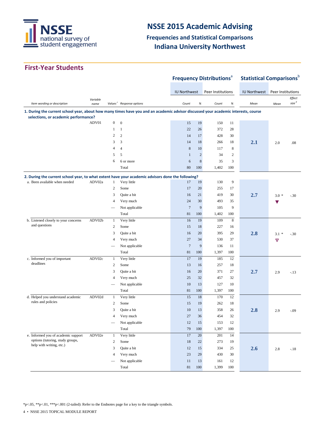

#### **Frequencies and Statistical Comparisons Indiana University Northwest**

#### **First-Year Students**

|                                                                                                                                    |                  |                       |                                      |                     |                | <b>Frequency Distributions<sup>a</sup></b> | <b>Statistical Comparisons</b> b |              |                   |                    |
|------------------------------------------------------------------------------------------------------------------------------------|------------------|-----------------------|--------------------------------------|---------------------|----------------|--------------------------------------------|----------------------------------|--------------|-------------------|--------------------|
|                                                                                                                                    |                  |                       |                                      | <b>IU Northwest</b> |                | Peer Institutions                          |                                  | IU Northwest | Peer Institutions |                    |
| Item wording or description                                                                                                        | Variable<br>name |                       | Values <sup>c</sup> Response options | Count               | $\%$           | Count                                      | $\%$                             | Mean         | Mean              | Effect<br>size $d$ |
| 1. During the current school year, about how many times have you and an academic advisor discussed your academic interests, course |                  |                       |                                      |                     |                |                                            |                                  |              |                   |                    |
| selections, or academic performance?                                                                                               |                  |                       |                                      |                     |                |                                            |                                  |              |                   |                    |
|                                                                                                                                    | ADV01            | $\boldsymbol{0}$<br>1 | $\mathbf{0}$<br>$\mathbf{1}$         | 15<br>22            | 19<br>26       | 150                                        | 11<br>28                         |              |                   |                    |
|                                                                                                                                    |                  | $\overline{2}$        | 2                                    | 14                  | 17             | 372<br>428                                 | 30                               |              |                   |                    |
|                                                                                                                                    |                  | 3                     | 3                                    | 14                  | 18             | 266                                        | 18                               | 2.1          |                   |                    |
|                                                                                                                                    |                  | 4                     | $\overline{4}$                       | $\,8\,$             | 10             | 117                                        | 8                                |              | 2.0               | .08                |
|                                                                                                                                    |                  | 5                     | 5                                    | $\mathbf{1}$        | $\sqrt{2}$     | 34                                         | $\boldsymbol{2}$                 |              |                   |                    |
|                                                                                                                                    |                  | 6                     | 6 or more                            | 6                   | $\,$ 8 $\,$    | 35                                         | 3                                |              |                   |                    |
|                                                                                                                                    |                  |                       | Total                                | 80                  | 100            | 1,402                                      | 100                              |              |                   |                    |
|                                                                                                                                    |                  |                       |                                      |                     |                |                                            |                                  |              |                   |                    |
| 2. During the current school year, to what extent have your academic advisors done the following?                                  |                  |                       |                                      |                     |                |                                            |                                  |              |                   |                    |
| a. Been available when needed                                                                                                      | ADV02a           | $\mathbf{1}$          | Very little                          | 17                  | 19             | 130                                        | 9                                |              |                   |                    |
|                                                                                                                                    |                  | $\overline{c}$        | Some                                 | 17                  | 20             | 255                                        | 17                               |              |                   |                    |
|                                                                                                                                    |                  | $\mathfrak{Z}$        | Quite a bit                          | 16                  | 21             | 419                                        | 30                               | 2.7          | $3.0*$            | $-.30$             |
|                                                                                                                                    |                  | $\overline{4}$        | Very much                            | 24                  | 30             | 493                                        | 35                               |              | v                 |                    |
|                                                                                                                                    |                  |                       | Not applicable                       | $7\phantom{.0}$     | 9              | 105                                        | 9                                |              |                   |                    |
|                                                                                                                                    |                  |                       | Total                                | 81                  | 100            | 1,402                                      | 100                              |              |                   |                    |
| b. Listened closely to your concerns<br>and questions                                                                              | ADV02b           | $\mathbf{1}$          | Very little                          | 16                  | 19             | 109                                        | $\,8\,$                          |              |                   |                    |
|                                                                                                                                    |                  | $\overline{c}$        | Some                                 | 15                  | 18             | 227                                        | 16                               |              |                   |                    |
|                                                                                                                                    |                  | 3                     | Quite a bit                          | 16                  | 20             | 395                                        | 29                               | 2.8          | $3.1*$            | $-.30$             |
|                                                                                                                                    |                  | $\overline{4}$        | Very much                            | 27                  | 34             | 530                                        | 37                               |              | $\bm{\nabla}$     |                    |
|                                                                                                                                    |                  |                       | Not applicable                       | $7\phantom{.0}$     | $\overline{9}$ | 136                                        | 11                               |              |                   |                    |
|                                                                                                                                    |                  |                       | Total                                | 81                  | 100            | 1,397                                      | 100                              |              |                   |                    |
| c. Informed you of important<br>deadlines                                                                                          | ADV02c           | $\mathbf{1}$          | Very little                          | 17                  | 19             | 185                                        | 12                               |              |                   |                    |
|                                                                                                                                    |                  | $\overline{c}$        | Some                                 | 13                  | 16             | 257                                        | 18                               |              |                   |                    |
|                                                                                                                                    |                  | 3                     | Quite a bit                          | 16                  | 20             | 371                                        | 27                               | 2.7          | 2.9               | $-.13$             |
|                                                                                                                                    |                  | 4                     | Very much                            | 25                  | 32             | 457                                        | 32                               |              |                   |                    |
|                                                                                                                                    |                  |                       | Not applicable                       | 10                  | 13             | 127                                        | 10                               |              |                   |                    |
|                                                                                                                                    |                  |                       | Total                                | 81                  | 100            | 1,397                                      | 100                              |              |                   |                    |
| d. Helped you understand academic<br>rules and policies                                                                            | ADV02d           | $\mathbf{1}$          | Very little                          | 15                  | 18             | 170                                        | 12                               |              |                   |                    |
|                                                                                                                                    |                  | $\overline{c}$        | Some                                 | 15                  | 19             | 262                                        | 18                               |              |                   |                    |
|                                                                                                                                    |                  | 3                     | Quite a bit                          | 10                  | 13             | 358                                        | 26                               | 2.8          | 2.9               | $-.09$             |
|                                                                                                                                    |                  |                       | Very much                            | 27                  | $36\,$         | 454                                        | 32                               |              |                   |                    |
|                                                                                                                                    |                  |                       | Not applicable                       | 12                  | 15             | 153                                        | 12                               |              |                   |                    |
|                                                                                                                                    |                  |                       | Total                                | 79                  | 100            | 1,397                                      | $100\,$                          |              |                   |                    |
| e. Informed you of academic support                                                                                                | ADV02e           | $\mathbf{1}$          | Very little                          | 17                  | $20\,$         | 201                                        | 14                               |              |                   |                    |
| options (tutoring, study groups,<br>help with writing, etc.)                                                                       |                  | $\sqrt{2}$            | Some                                 | 18                  | 22             | 273                                        | 19                               |              |                   |                    |
|                                                                                                                                    |                  | $\mathfrak 3$         | Quite a bit                          | 12                  | 15             | 334                                        | 25                               | 2.6          | 2.8               | $-.18$             |
|                                                                                                                                    |                  | $\overline{4}$        | Very much                            | 23                  | 29             | 430                                        | 30                               |              |                   |                    |
|                                                                                                                                    |                  |                       | Not applicable                       | 11                  | 13             | 161                                        | 12                               |              |                   |                    |
|                                                                                                                                    |                  |                       | Total                                | 81                  | 100            | 1,399                                      | 100                              |              |                   |                    |

\*p<.05, \*\*p<.01, \*\*\*p<.001 (2-tailed): Refer to the Endnotes page for a key to the triangle symbols.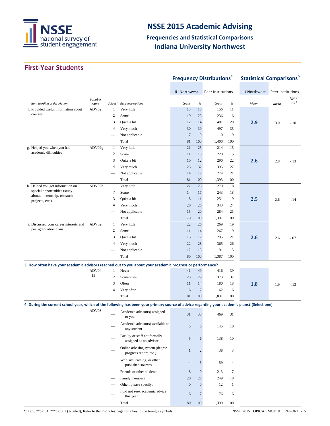

### **Frequencies and Statistical Comparisons Indiana University Northwest**

#### **First-Year Students**

**Frequency Distributions<sup>a</sup> Statistical Comparisons**<sup>b</sup>

|                                                                                                                                              |                                                          |                  |                                                          | <b>IU Northwest</b> |                  | Peer Institutions |                | IU Northwest | Peer Institutions  |        |
|----------------------------------------------------------------------------------------------------------------------------------------------|----------------------------------------------------------|------------------|----------------------------------------------------------|---------------------|------------------|-------------------|----------------|--------------|--------------------|--------|
| Item wording or description                                                                                                                  | Variable<br>Values <sup>c</sup> Response options<br>name |                  | Count                                                    | $\%$                | Count            | $\%$              | Mean           | Mean         | Effect<br>$size^d$ |        |
| f. Provided useful information about                                                                                                         | ADV02f                                                   | 1                | Very little                                              | 13                  | 15               | 156               | 11             |              |                    |        |
| courses                                                                                                                                      |                                                          | 2                | Some                                                     | 19                  | 23               | 236               | 16             |              |                    |        |
|                                                                                                                                              |                                                          | 3                | Quite a bit                                              | 12                  | 14               | 401               | 29             | 2.9          | 3.0                | $-.10$ |
|                                                                                                                                              |                                                          | 4                | Very much                                                | 30                  | 39               | 497               | 35             |              |                    |        |
|                                                                                                                                              |                                                          |                  | Not applicable                                           | $\overline{7}$      | 9                | 110               | $\overline{9}$ |              |                    |        |
|                                                                                                                                              |                                                          |                  | Total                                                    | 81                  | 100              | 1,400             | 100            |              |                    |        |
| g. Helped you when you had                                                                                                                   | ADV02g                                                   | $\mathbf{1}$     | Very little                                              | 21                  | 25               | 214               | 15             |              |                    |        |
| academic difficulties                                                                                                                        |                                                          | 2                | Some                                                     | 11                  | 13               | 220               | 15             |              |                    |        |
|                                                                                                                                              |                                                          | 3                | Quite a bit                                              | 10                  | 12               | 290               | 22             | 2.6          | 2.8                | $-.13$ |
|                                                                                                                                              |                                                          | 4                | Very much                                                | 25                  | 32               | 395               | 27             |              |                    |        |
|                                                                                                                                              |                                                          |                  | Not applicable                                           | 14                  | 17               | 274               | 21             |              |                    |        |
|                                                                                                                                              |                                                          |                  | Total                                                    | 81                  | 100              | 1,393             | 100            |              |                    |        |
| h. Helped you get information on                                                                                                             | ADV02h                                                   | $\mathbf{1}$     | Very little                                              | 22                  | 26               | 270               | 18             |              |                    |        |
| special opportunities (study                                                                                                                 |                                                          | $\boldsymbol{2}$ | Some                                                     | 14                  | 17               | 243               | 18             |              |                    |        |
| abroad, internship, research                                                                                                                 |                                                          | 3                | Quite a bit                                              | $8\phantom{1}$      | 11               | 251               | 19             | 2.5          | 2.6                | $-.14$ |
| projects, etc.)                                                                                                                              |                                                          | 4                | Very much                                                | 20                  | 26               | 343               | 24             |              |                    |        |
|                                                                                                                                              |                                                          |                  | Not applicable                                           | 15                  | 20               | 284               | 21             |              |                    |        |
|                                                                                                                                              |                                                          |                  | Total                                                    | 79                  | 100              | 1,391             | 100            |              |                    |        |
| i. Discussed your career interests and                                                                                                       | ADV02i                                                   | $\mathbf{1}$     | Very little                                              | 22                  | 26               | 269               | 19             |              |                    |        |
| post-graduation plans                                                                                                                        |                                                          | $\boldsymbol{2}$ | Some                                                     | 11                  | 14               | 267               | 19             |              |                    |        |
|                                                                                                                                              |                                                          | 3                | Quite a bit                                              | 13                  | 17               | 295               | 21             | 2.6          |                    |        |
|                                                                                                                                              |                                                          | 4                | Very much                                                | 22                  | 28               | 365               | 26             |              | 2.6                | $-.07$ |
|                                                                                                                                              |                                                          |                  | Not applicable                                           | 12                  | 15               | 191               | 15             |              |                    |        |
|                                                                                                                                              |                                                          |                  | Total                                                    |                     | 100              |                   |                |              |                    |        |
|                                                                                                                                              |                                                          |                  |                                                          | 80                  |                  | 1,387             | 100            |              |                    |        |
| 3. How often have your academic advisors reached out to you about your academic progress or performance?                                     |                                                          |                  |                                                          |                     |                  |                   |                |              |                    |        |
|                                                                                                                                              | ADV04                                                    | $\mathbf{1}$     | Never                                                    | 41                  | 49               | 416               | 39             |              |                    |        |
|                                                                                                                                              | $\_15$                                                   | 2                | Sometimes                                                | 23                  | 29               | 373               | 37             |              |                    |        |
|                                                                                                                                              |                                                          | 3                | Often                                                    | 11                  | 14               | 180               | 18             | 1.8          | 1.9                | $-.13$ |
|                                                                                                                                              |                                                          | 4                | Very often                                               | 6                   | $\overline{7}$   | 62                | 6              |              |                    |        |
|                                                                                                                                              |                                                          |                  | Total                                                    | 81                  | 100              | 1,031             | 100            |              |                    |        |
| 4. During the current school year, which of the following has been your primary source of advice regarding your academic plans? (Select one) |                                                          |                  |                                                          |                     |                  |                   |                |              |                    |        |
|                                                                                                                                              | ADV03                                                    |                  | Academic advisor(s) assigned<br>to you                   | 31                  | 38               | 469               | 31             |              |                    |        |
|                                                                                                                                              |                                                          |                  | Academic advisor(s) available to<br>any student          | 5                   | 6                | 145               | 10             |              |                    |        |
|                                                                                                                                              |                                                          |                  | Faculty or staff not formally<br>assigned as an advisor  | 5                   | 6                | 138               | 10             |              |                    |        |
|                                                                                                                                              |                                                          |                  | Online advising system (degree<br>progress report, etc.) | $\mathbf{1}$        | $\boldsymbol{2}$ | 38                | 3              |              |                    |        |
|                                                                                                                                              |                                                          |                  | Web site, catalog, or other<br>published sources         | $\overline{4}$      | $\mathfrak{S}$   | 59                | $\overline{4}$ |              |                    |        |
|                                                                                                                                              |                                                          |                  | Friends or other students                                | 8                   | 9                | 213               | 17             |              |                    |        |
|                                                                                                                                              |                                                          |                  | Family members                                           | 20                  | 27               | 249               | 18             |              |                    |        |
|                                                                                                                                              |                                                          |                  | Other, please specify:                                   | $\boldsymbol{0}$    | $\mathbf{0}$     | 12                | $\mathbf{1}$   |              |                    |        |
|                                                                                                                                              |                                                          |                  | I did not seek academic advice<br>this year              | 6                   | $\tau$           | 76                | 6              |              |                    |        |
|                                                                                                                                              |                                                          |                  | Total                                                    | 80                  | 100              | 1,399             | 100            |              |                    |        |

\*p<.05, \*\*p<.01, \*\*\*p<.001 (2-tailed); Refer to the Endnotes page for a key to the triangle symbols. NSSE 2015 TOPICAL MODULE REPORT • 5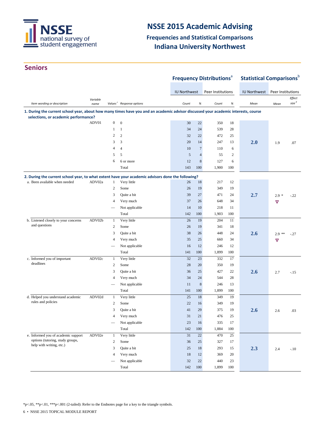

#### **Frequencies and Statistical Comparisons Indiana University Northwest**

#### **Seniors**

|                                                                                                                                    |                  |                       |                                      |                     |                   | <b>Frequency Distributions<sup>a</sup></b> | <b>Statistical Comparisons</b> b |                     |                   |                    |
|------------------------------------------------------------------------------------------------------------------------------------|------------------|-----------------------|--------------------------------------|---------------------|-------------------|--------------------------------------------|----------------------------------|---------------------|-------------------|--------------------|
|                                                                                                                                    |                  |                       |                                      | <b>IU Northwest</b> |                   | Peer Institutions                          |                                  | <b>IU Northwest</b> | Peer Institutions |                    |
| Item wording or description                                                                                                        | Variable<br>name |                       | Values <sup>c</sup> Response options | Count               | $\%$              | Count                                      | $\%$                             | Mean                | Mean              | Effect<br>size $d$ |
| 1. During the current school year, about how many times have you and an academic advisor discussed your academic interests, course |                  |                       |                                      |                     |                   |                                            |                                  |                     |                   |                    |
| selections, or academic performance?                                                                                               | ADV01            |                       |                                      |                     |                   |                                            |                                  |                     |                   |                    |
|                                                                                                                                    |                  | $\boldsymbol{0}$<br>1 | $\boldsymbol{0}$<br>1                | 30<br>34            | 22<br>24          | 350<br>539                                 | 18<br>28                         |                     |                   |                    |
|                                                                                                                                    |                  | $\overline{2}$        | $\sqrt{2}$                           | 32                  | 22                | 472                                        | 25                               |                     |                   |                    |
|                                                                                                                                    |                  | 3                     | 3                                    | 20                  | 14                | 247                                        | 13                               | 2.0                 |                   |                    |
|                                                                                                                                    |                  | $\overline{4}$        | $\overline{4}$                       | 10                  | $\tau$            | 110                                        | 6                                |                     | 1.9               | .07                |
|                                                                                                                                    |                  | 5                     | 5                                    | $\mathfrak{S}$      | $\overline{4}$    | 55                                         | $\boldsymbol{2}$                 |                     |                   |                    |
|                                                                                                                                    |                  | 6                     | 6 or more                            | 12                  | $\,8\,$           | 127                                        | 6                                |                     |                   |                    |
|                                                                                                                                    |                  |                       | Total                                | 143                 | 100               | 1,900                                      | 100                              |                     |                   |                    |
|                                                                                                                                    |                  |                       |                                      |                     |                   |                                            |                                  |                     |                   |                    |
| 2. During the current school year, to what extent have your academic advisors done the following?                                  |                  |                       |                                      |                     |                   |                                            |                                  |                     |                   |                    |
| a. Been available when needed                                                                                                      | ADV02a           | $\mathbf{1}$          | Very little                          | 26                  | 18                | 217                                        | 12                               |                     |                   |                    |
|                                                                                                                                    |                  | $\boldsymbol{2}$      | Some                                 | 26                  | 19                | 349                                        | 19                               |                     |                   |                    |
|                                                                                                                                    |                  | 3                     | Quite a bit                          | 39                  | 27                | 471                                        | 24                               | 2.7                 | $2.9*$            | $-.22$             |
|                                                                                                                                    |                  | 4                     | Very much                            | 37                  | 26                | 648                                        | 34                               |                     | ▽                 |                    |
|                                                                                                                                    |                  |                       | Not applicable                       | 14                  | 10                | 218                                        | 11                               |                     |                   |                    |
|                                                                                                                                    |                  |                       | Total                                | 142                 | 100               | 1,903                                      | 100                              |                     |                   |                    |
| b. Listened closely to your concerns<br>and questions                                                                              | ADV02b           | $\mathbf{1}$          | Very little                          | 26                  | 19                | 204                                        | 11                               |                     |                   |                    |
|                                                                                                                                    |                  | $\overline{c}$        | Some                                 | 26                  | 19                | 341                                        | 18                               |                     |                   |                    |
|                                                                                                                                    |                  | 3                     | Quite a bit                          | 38                  | 26                | 448                                        | 24                               | 2.6                 | $2.9$ **          | $-.27$             |
|                                                                                                                                    |                  | $\overline{4}$        | Very much                            | 35                  | 25                | 660                                        | 34                               |                     | ▽                 |                    |
|                                                                                                                                    |                  |                       | Not applicable                       | 16                  | 12                | 246                                        | 12                               |                     |                   |                    |
|                                                                                                                                    |                  |                       | Total                                | 141                 | 100               | 1,899                                      | 100                              |                     |                   |                    |
| c. Informed you of important<br>deadlines                                                                                          | ADV02c           | $\mathbf{1}$          | Very little                          | 32                  | 23                | 332                                        | 17                               |                     |                   |                    |
|                                                                                                                                    |                  | $\overline{c}$        | Some                                 | 28                  | 20                | 350                                        | 19                               |                     |                   |                    |
|                                                                                                                                    |                  | 3                     | Quite a bit                          | 36                  | 25                | 427                                        | 22                               | 2.6                 | 2.7               | $-.15$             |
|                                                                                                                                    |                  | $\overline{4}$        | Very much                            | 34<br>11            | 24<br>$\,$ 8 $\,$ | 544<br>246                                 | 28<br>13                         |                     |                   |                    |
|                                                                                                                                    |                  |                       | Not applicable<br>Total              | 141                 | 100               | 1,899                                      | 100                              |                     |                   |                    |
| d. Helped you understand academic                                                                                                  | ADV02d           | $\mathbf{1}$          | Very little                          | 25                  | 18                | 349                                        | 19                               |                     |                   |                    |
| rules and policies                                                                                                                 |                  | $\overline{c}$        | Some                                 | 22                  | 16                | 349                                        | 19                               |                     |                   |                    |
|                                                                                                                                    |                  | 3                     | Quite a bit                          | 41                  | 29                | 375                                        | 19                               | 2.6                 |                   |                    |
|                                                                                                                                    |                  |                       |                                      | 31                  | 21                | 476                                        |                                  |                     | 2.6               | .03                |
|                                                                                                                                    |                  |                       | Very much<br>Not applicable          | 23                  | 16                | 335                                        | 25<br>17                         |                     |                   |                    |
|                                                                                                                                    |                  |                       | Total                                | 142                 | 100               | 1,884                                      | $100\,$                          |                     |                   |                    |
| e. Informed you of academic support                                                                                                | ADV02e           | $\mathbf{1}$          | Very little                          | 31                  | $22\,$            | 470                                        | 25                               |                     |                   |                    |
| options (tutoring, study groups,                                                                                                   |                  | $\sqrt{2}$            | Some                                 | 36                  | 25                | 327                                        | 17                               |                     |                   |                    |
| help with writing, etc.)                                                                                                           |                  | 3                     | Quite a bit                          | 25                  | 18                | 293                                        | 15                               |                     |                   |                    |
|                                                                                                                                    |                  | $\overline{4}$        | Very much                            | 18                  | 12                | 369                                        | 20                               | 2.3                 | 2.4               | $-.10$             |
|                                                                                                                                    |                  |                       | Not applicable                       | 32                  | 22                | 440                                        | 23                               |                     |                   |                    |
|                                                                                                                                    |                  |                       | Total                                | 142                 | 100               | 1,899                                      | 100                              |                     |                   |                    |
|                                                                                                                                    |                  |                       |                                      |                     |                   |                                            |                                  |                     |                   |                    |

\*p<.05, \*\*p<.01, \*\*\*p<.001 (2-tailed): Refer to the Endnotes page for a key to the triangle symbols.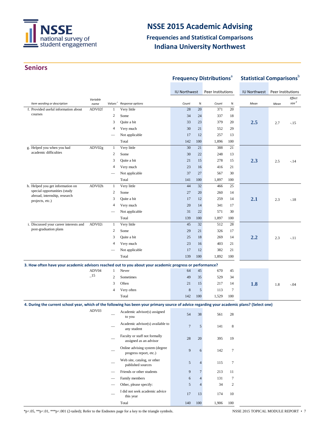

### **Frequencies and Statistical Comparisons Indiana University Northwest**

#### **Seniors**

**Frequency Distributions<sup>a</sup> Statistical Comparisons**<sup>b</sup>

|                                                                                                                                              |                 |                  |                                                          | <b>IU Northwest</b> |                | Peer Institutions |                  | <b>IU Northwest</b> | Peer Institutions |                           |
|----------------------------------------------------------------------------------------------------------------------------------------------|-----------------|------------------|----------------------------------------------------------|---------------------|----------------|-------------------|------------------|---------------------|-------------------|---------------------------|
|                                                                                                                                              | Variable        |                  | Values <sup>c</sup> Response options                     | Count               | $\%$           | Count             | $\%$             | Mean                |                   | <b>Effect</b><br>size $d$ |
| Item wording or description<br>f. Provided useful information about                                                                          | name<br>ADV02f  | $\mathbf{1}$     | Very little                                              | 28                  | 20             | 371               | 20               |                     | Mean              |                           |
| courses                                                                                                                                      |                 | $\overline{c}$   | Some                                                     | 34                  | 24             | 337               | 18               |                     |                   |                           |
|                                                                                                                                              |                 | 3                | Quite a bit                                              | 33                  | 23             | 379               | 20               | 2.5                 |                   |                           |
|                                                                                                                                              |                 | 4                | Very much                                                | 30                  | 21             | 552               | 29               |                     | 2.7               | $-.15$                    |
|                                                                                                                                              |                 |                  | Not applicable                                           | 17                  | 12             | 257               | 13               |                     |                   |                           |
|                                                                                                                                              |                 |                  | Total                                                    | 142                 | 100            | 1,896             | 100              |                     |                   |                           |
| g. Helped you when you had                                                                                                                   | ADV02g          | $\mathbf{1}$     | Very little                                              | 30                  | 21             | 388               | 21               |                     |                   |                           |
| academic difficulties                                                                                                                        |                 | $\boldsymbol{2}$ | Some                                                     | 30                  | 22             | 248               | 13               |                     |                   |                           |
|                                                                                                                                              |                 | 3                | Quite a bit                                              | 21                  | 15             | 278               | 15               | 2.3                 |                   |                           |
|                                                                                                                                              |                 | 4                | Very much                                                | 23                  | 16             | 416               | 21               |                     | 2.5               | $-.14$                    |
|                                                                                                                                              |                 |                  | Not applicable                                           | 37                  | 27             | 567               | 30               |                     |                   |                           |
|                                                                                                                                              |                 |                  | Total                                                    | 141                 | 100            | 1,897             | 100              |                     |                   |                           |
| h. Helped you get information on                                                                                                             | ADV02h          | $\mathbf{1}$     | Very little                                              | 44                  | 32             | 466               | 25               |                     |                   |                           |
| special opportunities (study                                                                                                                 |                 | $\boldsymbol{2}$ | Some                                                     | 27                  | 20             | 260               | 14               |                     |                   |                           |
| abroad, internship, research                                                                                                                 |                 | 3                | Quite a bit                                              | 17                  | 12             | 259               | 14               | 2.1                 |                   |                           |
| projects, etc.)                                                                                                                              |                 | 4                | Very much                                                | 20                  | 14             | 341               | 17               |                     | 2.3               | $-.18$                    |
|                                                                                                                                              |                 |                  | Not applicable                                           | 31                  | 22             | 571               | 30               |                     |                   |                           |
|                                                                                                                                              |                 |                  | Total                                                    | 139                 | 100            | 1,897             | 100              |                     |                   |                           |
| i. Discussed your career interests and                                                                                                       | ADV02i          | $\mathbf{1}$     | Very little                                              | 45                  | 32             | 512               | 28               |                     |                   |                           |
| post-graduation plans                                                                                                                        |                 | $\boldsymbol{2}$ | Some                                                     | 29                  | 21             | 326               | 17               |                     |                   |                           |
|                                                                                                                                              |                 | 3                | Quite a bit                                              | 25                  | 18             | 269               | 14               | 2.2                 |                   |                           |
|                                                                                                                                              |                 | 4                | Very much                                                | 23                  | 16             | 403               | 21               |                     | 2.3               | $-.11$                    |
|                                                                                                                                              |                 |                  |                                                          | 17                  | 12             | 382               | 21               |                     |                   |                           |
|                                                                                                                                              |                 |                  | Not applicable<br>Total                                  | 139                 | 100            | 1,892             | 100              |                     |                   |                           |
|                                                                                                                                              |                 |                  |                                                          |                     |                |                   |                  |                     |                   |                           |
| 3. How often have your academic advisors reached out to you about your academic progress or performance?                                     |                 |                  |                                                          |                     |                |                   |                  |                     |                   |                           |
|                                                                                                                                              | ADV04<br>$\_15$ | $\mathbf{1}$     | Never                                                    | 64                  | 45             | 670               | 45               |                     |                   |                           |
|                                                                                                                                              |                 | $\overline{c}$   | Sometimes                                                | 49                  | 35             | 529               | 34               |                     |                   |                           |
|                                                                                                                                              |                 | 3                | Often                                                    | 21                  | 15             | 217               | 14               | 1.8                 | 1.8               | $-.04$                    |
|                                                                                                                                              |                 | 4                | Very often                                               | $\,8\,$             | $\sqrt{5}$     | 113               | $\boldsymbol{7}$ |                     |                   |                           |
|                                                                                                                                              |                 |                  | Total                                                    | 142                 | 100            | 1,529             | 100              |                     |                   |                           |
| 4. During the current school year, which of the following has been your primary source of advice regarding your academic plans? (Select one) |                 |                  |                                                          |                     |                |                   |                  |                     |                   |                           |
|                                                                                                                                              | ADV03           |                  | Academic advisor(s) assigned<br>to you                   | 54                  | 38             | 561               | 28               |                     |                   |                           |
|                                                                                                                                              |                 |                  | Academic advisor(s) available to<br>any student          | $\tau$              | 5              | 141               | 8                |                     |                   |                           |
|                                                                                                                                              |                 |                  | Faculty or staff not formally<br>assigned as an advisor  | 28                  | 20             | 395               | 19               |                     |                   |                           |
|                                                                                                                                              |                 |                  | Online advising system (degree<br>progress report, etc.) | 9                   | 6              | 142               | $\boldsymbol{7}$ |                     |                   |                           |
|                                                                                                                                              |                 |                  | Web site, catalog, or other<br>published sources         | 5                   | $\overline{4}$ | 115               | $\tau$           |                     |                   |                           |
|                                                                                                                                              |                 |                  | Friends or other students                                | 9                   | $\tau$         | 213               | 11               |                     |                   |                           |
|                                                                                                                                              |                 |                  | Family members                                           | 6                   | $\overline{4}$ | 131               | $\boldsymbol{7}$ |                     |                   |                           |
|                                                                                                                                              |                 |                  | Other, please specify:                                   | 5                   | $\overline{4}$ | 34                | $\boldsymbol{2}$ |                     |                   |                           |
|                                                                                                                                              |                 |                  | I did not seek academic advice<br>this year              | 17                  | 13             | 174               | 10               |                     |                   |                           |
|                                                                                                                                              |                 |                  | Total                                                    | 140                 | 100            | 1,906             | 100              |                     |                   |                           |

\*p<.05, \*\*p<.01, \*\*\*p<.001 (2-tailed); Refer to the Endnotes page for a key to the triangle symbols. NSSE 2015 TOPICAL MODULE REPORT • 7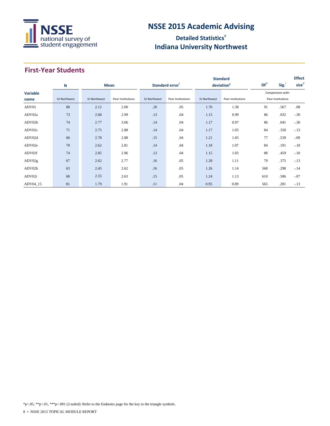

#### **Detailed Statistics<sup>e</sup> Indiana University Northwest**

#### **First-Year Students**

|                 |                     |                     |                   |                     |                   |                     | <b>Standard</b>        |                   |      | <b>Effect</b> |
|-----------------|---------------------|---------------------|-------------------|---------------------|-------------------|---------------------|------------------------|-------------------|------|---------------|
|                 | N                   | Mean                |                   |                     | Standard error    |                     | deviation <sup>8</sup> | DF <sup>h</sup>   | Sig. | sized         |
| <b>Variable</b> |                     |                     |                   |                     |                   |                     |                        | Comparisons with: |      |               |
| name            | <b>IU Northwest</b> | <b>IU Northwest</b> | Peer Institutions | <b>IU Northwest</b> | Peer Institutions | <b>IU Northwest</b> | Peer Institutions      | Peer Institutions |      |               |
| ADV01           | 80                  | 2.12                | 2.00              | .20                 | .05               | 1.76                | 1.38                   | 91                | .567 | .08           |
| ADV02a          | 73                  | 2.68                | 2.99              | .13                 | .04               | 1.15                | 0.99                   | 86                | .032 | $-.30$        |
| ADV02b          | 74                  | 2.77                | 3.06              | .14                 | .04               | 1.17                | 0.97                   | 86                | .041 | $-.30$        |
| ADV02c          | 71                  | 2.75                | 2.88              | .14                 | .04               | 1.17                | 1.05                   | 84                | .350 | $-.13$        |
| ADV02d          | 66                  | 2.78                | 2.88              | .15                 | .04               | 1.21                | 1.05                   | 77                | .539 | $-.09$        |
| ADV02e          | 70                  | 2.62                | 2.81              | .14                 | .04               | 1.18                | 1.07                   | 84                | .191 | $-.18$        |
| ADV02f          | 74                  | 2.85                | 2.96              | .13                 | .04               | 1.15                | 1.03                   | 88                | .459 | $-.10$        |
| ADV02g          | 67                  | 2.62                | 2.77              | .16                 | .05               | 1.28                | 1.11                   | 79                | .375 | $-.13$        |
| ADV02h          | 63                  | 2.45                | 2.62              | .16                 | .05               | 1.26                | 1.14                   | 568               | .298 | $-.14$        |
| ADV02i          | 68                  | 2.55                | 2.63              | .15                 | .05               | 1.24                | 1.13                   | 610               | .586 | $-.07$        |
| ADV04 15        | 81                  | 1.79                | 1.91              | .11                 | .04               | 0.95                | 0.89                   | 565               | .281 | $-.13$        |

\*p<.05, \*\*p<.01, \*\*\*p<.001 (2-tailed): Refer to the Endnotes page for the key to the triangle symbols.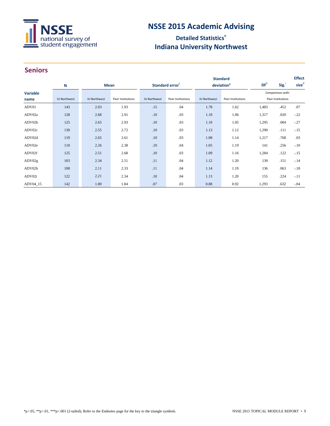

#### **Detailed Statistics<sup>e</sup> Indiana University Northwest**

#### **Seniors**

|          | N            | <b>Mean</b>         |                   | Standard error |                   |              | <b>Standard</b><br>deviation <sup>8</sup> | DF <sup>h</sup>   | Sig.              | <b>Effect</b><br>size <sup>d</sup> |
|----------|--------------|---------------------|-------------------|----------------|-------------------|--------------|-------------------------------------------|-------------------|-------------------|------------------------------------|
| Variable |              |                     |                   |                |                   |              |                                           |                   | Comparisons with: |                                    |
| name     | IU Northwest | <b>IU Northwest</b> | Peer Institutions | IU Northwest   | Peer Institutions | IU Northwest | Peer Institutions                         | Peer Institutions |                   |                                    |
| ADV01    | 143          | 2.03                | 1.93              | .15            | .04               | 1.78         | 1.62                                      | 1,483             | .452              | .07                                |
| ADV02a   | 128          | 2.68                | 2.91              | .10            | .03               | 1.10         | 1.06                                      | 1,317             | .020              | $-.22$                             |
| ADV02b   | 125          | 2.65                | 2.93              | .10            | .03               | 1.10         | 1.05                                      | 1,295             | .004              | $-.27$                             |
| ADV02c   | 130          | 2.55                | 2.72              | .10            | .03               | 1.13         | 1.12                                      | 1,290             | .111              | $-.15$                             |
| ADV02d   | 119          | 2.65                | 2.61              | .10            | .03               | 1.08         | 1.14                                      | 1,217             | .768              | .03                                |
| ADV02e   | 110          | 2.26                | 2.38              | .10            | .04               | 1.05         | 1.19                                      | 141               | .256              | $-.10$                             |
| ADV02f   | 125          | 2.51                | 2.68              | .10            | .03               | 1.09         | 1.16                                      | 1,284             | .122              | $-.15$                             |
| ADV02g   | 103          | 2.34                | 2.51              | .11            | .04               | 1.12         | 1.20                                      | 130               | .151              | $-.14$                             |
| ADV02h   | 108          | 2.11                | 2.33              | .11            | .04               | 1.14         | 1.19                                      | 136               | .063              | $-.18$                             |
| ADV02i   | 122          | 2.21                | 2.34              | .10            | .04               | 1.13         | 1.20                                      | 155               | .224              | $-.11$                             |
| ADV04 15 | 142          | 1.80                | 1.84              | .07            | .03               | 0.88         | 0.92                                      | 1,293             | .632              | $-.04$                             |